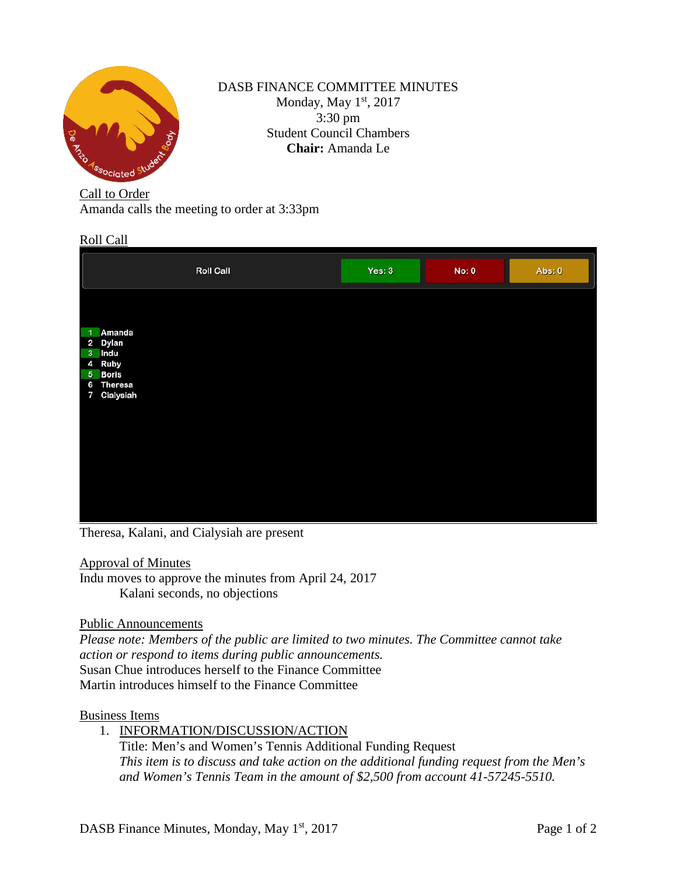

## DASB FINANCE COMMITTEE MINUTES Monday, May 1st, 2017 3:30 pm Student Council Chambers **Chair:** Amanda Le

Call to Order

Amanda calls the meeting to order at 3:33pm

## Roll Call

|                | <b>Roll Call</b> | Yes: 3 | <b>No: 0</b> | Abs: 0 |
|----------------|------------------|--------|--------------|--------|
|                |                  |        |              |        |
| $\overline{1}$ | Amanda           |        |              |        |
|                | 2 Dylan          |        |              |        |
|                | 3 Indu           |        |              |        |
|                | 4 Ruby           |        |              |        |
|                | 5 Boris          |        |              |        |
|                | 6 Theresa        |        |              |        |
|                | 7 Cialysiah      |        |              |        |
|                |                  |        |              |        |
|                |                  |        |              |        |
|                |                  |        |              |        |
|                |                  |        |              |        |
|                |                  |        |              |        |
|                |                  |        |              |        |
|                |                  |        |              |        |
|                |                  |        |              |        |
|                |                  |        |              |        |
|                |                  |        |              |        |

Theresa, Kalani, and Cialysiah are present

## Approval of Minutes

Indu moves to approve the minutes from April 24, 2017 Kalani seconds, no objections

Public Announcements

*Please note: Members of the public are limited to two minutes. The Committee cannot take action or respond to items during public announcements.*  Susan Chue introduces herself to the Finance Committee Martin introduces himself to the Finance Committee

## Business Items

- 1. INFORMATION/DISCUSSION/ACTION
	- Title: Men's and Women's Tennis Additional Funding Request *This item is to discuss and take action on the additional funding request from the Men's and Women's Tennis Team in the amount of \$2,500 from account 41-57245-5510.*